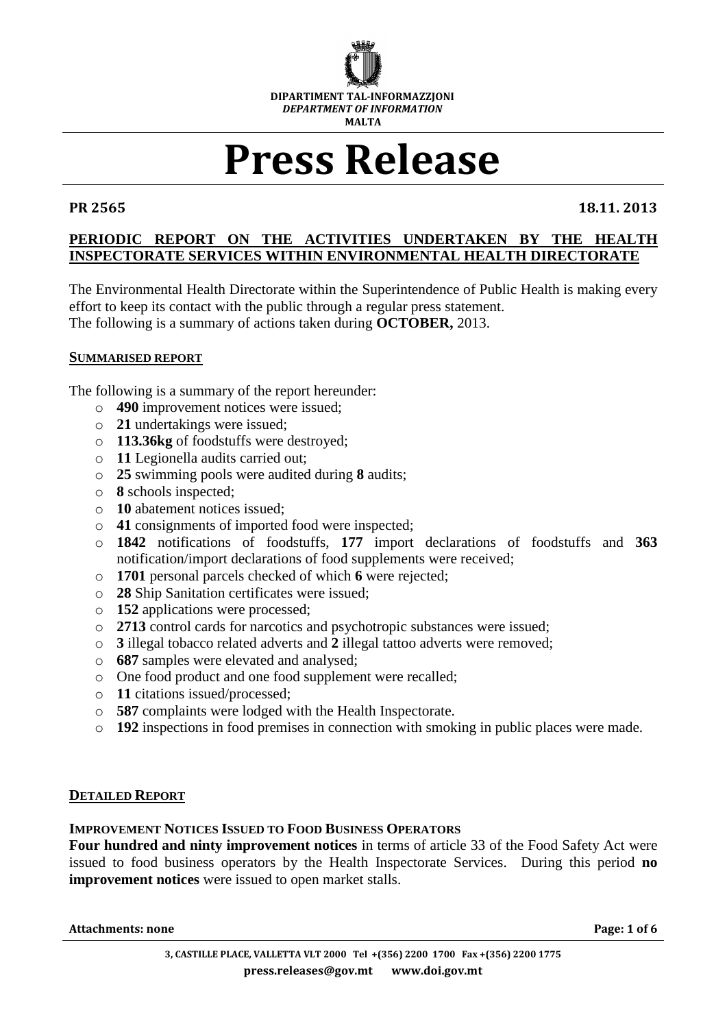

# **Press Release**

**PR 2565 18.11. 2013**

# **PERIODIC REPORT ON THE ACTIVITIES UNDERTAKEN BY THE HEALTH INSPECTORATE SERVICES WITHIN ENVIRONMENTAL HEALTH DIRECTORATE**

The Environmental Health Directorate within the Superintendence of Public Health is making every effort to keep its contact with the public through a regular press statement. The following is a summary of actions taken during **OCTOBER,** 2013.

### **SUMMARISED REPORT**

The following is a summary of the report hereunder:

- o **490** improvement notices were issued;
- o **21** undertakings were issued;
- o **113.36kg** of foodstuffs were destroyed;
- o **11** Legionella audits carried out;
- o **25** swimming pools were audited during **8** audits;
- o **8** schools inspected;
- o **10** abatement notices issued;
- o **41** consignments of imported food were inspected;
- o **1842** notifications of foodstuffs, **177** import declarations of foodstuffs and **363** notification/import declarations of food supplements were received;
- o **1701** personal parcels checked of which **6** were rejected;
- o **28** Ship Sanitation certificates were issued;
- o **152** applications were processed;
- o **2713** control cards for narcotics and psychotropic substances were issued;
- o **3** illegal tobacco related adverts and **2** illegal tattoo adverts were removed;
- o **687** samples were elevated and analysed;
- o One food product and one food supplement were recalled;
- o **11** citations issued/processed;
- o **587** complaints were lodged with the Health Inspectorate.
- o **192** inspections in food premises in connection with smoking in public places were made.

### **DETAILED REPORT**

### **IMPROVEMENT NOTICES ISSUED TO FOOD BUSINESS OPERATORS**

**Four hundred and ninty improvement notices** in terms of article 33 of the Food Safety Act were issued to food business operators by the Health Inspectorate Services. During this period **no improvement notices** were issued to open market stalls.

**Attachments: none Page: 1 of 6**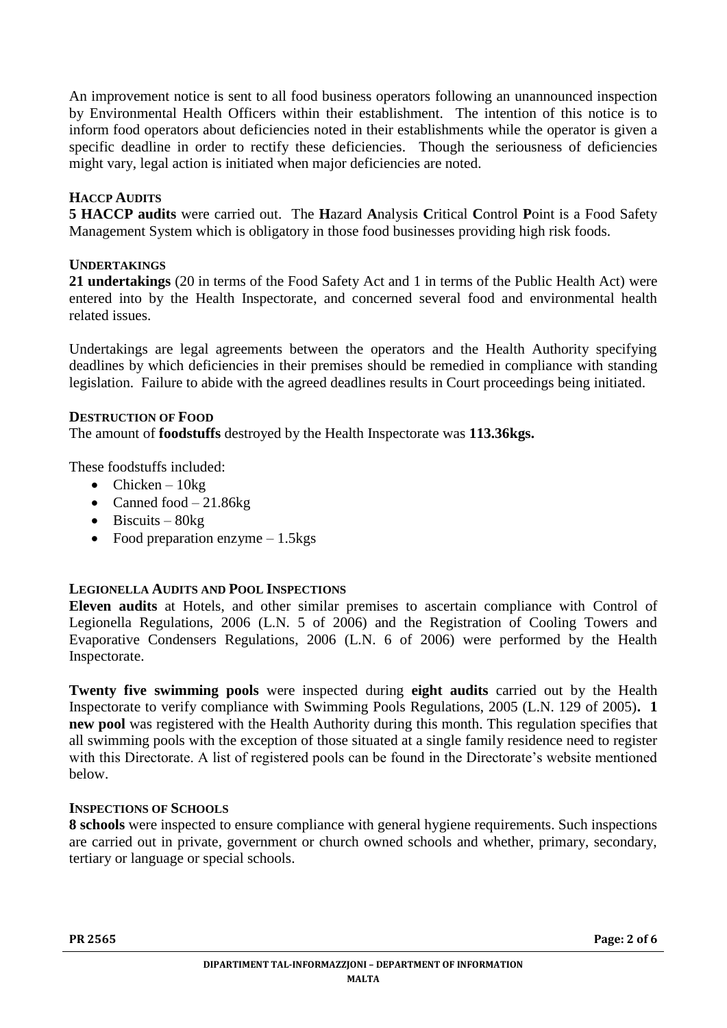An improvement notice is sent to all food business operators following an unannounced inspection by Environmental Health Officers within their establishment. The intention of this notice is to inform food operators about deficiencies noted in their establishments while the operator is given a specific deadline in order to rectify these deficiencies. Though the seriousness of deficiencies might vary, legal action is initiated when major deficiencies are noted.

# **HACCP AUDITS**

**5 HACCP audits** were carried out. The **H**azard **A**nalysis **C**ritical **C**ontrol **P**oint is a Food Safety Management System which is obligatory in those food businesses providing high risk foods.

# **UNDERTAKINGS**

**21 undertakings** (20 in terms of the Food Safety Act and 1 in terms of the Public Health Act) were entered into by the Health Inspectorate, and concerned several food and environmental health related issues.

Undertakings are legal agreements between the operators and the Health Authority specifying deadlines by which deficiencies in their premises should be remedied in compliance with standing legislation. Failure to abide with the agreed deadlines results in Court proceedings being initiated.

### **DESTRUCTION OF FOOD**

The amount of **foodstuffs** destroyed by the Health Inspectorate was **113.36kgs.**

These foodstuffs included:

- Chicken  $10kg$
- Canned food  $-21.86$ kg
- $\bullet$  Biscuits 80kg
- Food preparation enzyme  $-1.5$ kgs

# **LEGIONELLA AUDITS AND POOL INSPECTIONS**

**Eleven audits** at Hotels, and other similar premises to ascertain compliance with Control of Legionella Regulations, 2006 (L.N. 5 of 2006) and the Registration of Cooling Towers and Evaporative Condensers Regulations, 2006 (L.N. 6 of 2006) were performed by the Health Inspectorate.

**Twenty five swimming pools** were inspected during **eight audits** carried out by the Health Inspectorate to verify compliance with Swimming Pools Regulations, 2005 (L.N. 129 of 2005)**. 1 new pool** was registered with the Health Authority during this month. This regulation specifies that all swimming pools with the exception of those situated at a single family residence need to register with this Directorate. A list of registered pools can be found in the Directorate's website mentioned below.

### **INSPECTIONS OF SCHOOLS**

**8 schools** were inspected to ensure compliance with general hygiene requirements. Such inspections are carried out in private, government or church owned schools and whether, primary, secondary, tertiary or language or special schools.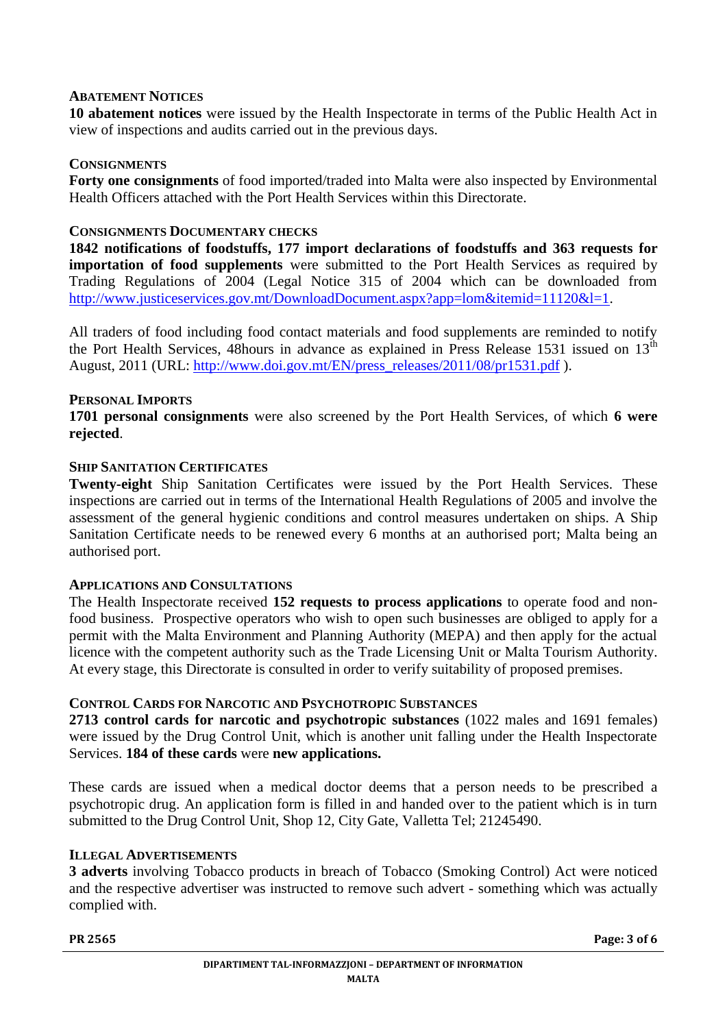### **ABATEMENT NOTICES**

**10 abatement notices** were issued by the Health Inspectorate in terms of the Public Health Act in view of inspections and audits carried out in the previous days.

### **CONSIGNMENTS**

**Forty one consignments** of food imported/traded into Malta were also inspected by Environmental Health Officers attached with the Port Health Services within this Directorate.

### **CONSIGNMENTS DOCUMENTARY CHECKS**

**1842 notifications of foodstuffs, 177 import declarations of foodstuffs and 363 requests for importation of food supplements** were submitted to the Port Health Services as required by Trading Regulations of 2004 (Legal Notice 315 of 2004 which can be downloaded from [http://www.justiceservices.gov.mt/DownloadDocument.aspx?app=lom&itemid=11120&l=1.](http://www.justiceservices.gov.mt/DownloadDocument.aspx?app=lom&itemid=11120&l=1)

All traders of food including food contact materials and food supplements are reminded to notify the Port Health Services, 48hours in advance as explained in Press Release 1531 issued on  $13<sup>th</sup>$ August, 2011 (URL: [http://www.doi.gov.mt/EN/press\\_releases/2011/08/pr1531.pdf](http://www.doi.gov.mt/EN/press_releases/2011/08/pr1531.pdf)).

### **PERSONAL IMPORTS**

**1701 personal consignments** were also screened by the Port Health Services, of which **6 were rejected**.

### **SHIP SANITATION CERTIFICATES**

**Twenty-eight** Ship Sanitation Certificates were issued by the Port Health Services. These inspections are carried out in terms of the International Health Regulations of 2005 and involve the assessment of the general hygienic conditions and control measures undertaken on ships. A Ship Sanitation Certificate needs to be renewed every 6 months at an authorised port; Malta being an authorised port.

### **APPLICATIONS AND CONSULTATIONS**

The Health Inspectorate received **152 requests to process applications** to operate food and nonfood business. Prospective operators who wish to open such businesses are obliged to apply for a permit with the Malta Environment and Planning Authority (MEPA) and then apply for the actual licence with the competent authority such as the Trade Licensing Unit or Malta Tourism Authority. At every stage, this Directorate is consulted in order to verify suitability of proposed premises.

### **CONTROL CARDS FOR NARCOTIC AND PSYCHOTROPIC SUBSTANCES**

**2713 control cards for narcotic and psychotropic substances** (1022 males and 1691 females) were issued by the Drug Control Unit, which is another unit falling under the Health Inspectorate Services. **184 of these cards** were **new applications.**

These cards are issued when a medical doctor deems that a person needs to be prescribed a psychotropic drug. An application form is filled in and handed over to the patient which is in turn submitted to the Drug Control Unit, Shop 12, City Gate, Valletta Tel; 21245490.

### **ILLEGAL ADVERTISEMENTS**

**3 adverts** involving Tobacco products in breach of Tobacco (Smoking Control) Act were noticed and the respective advertiser was instructed to remove such advert - something which was actually complied with.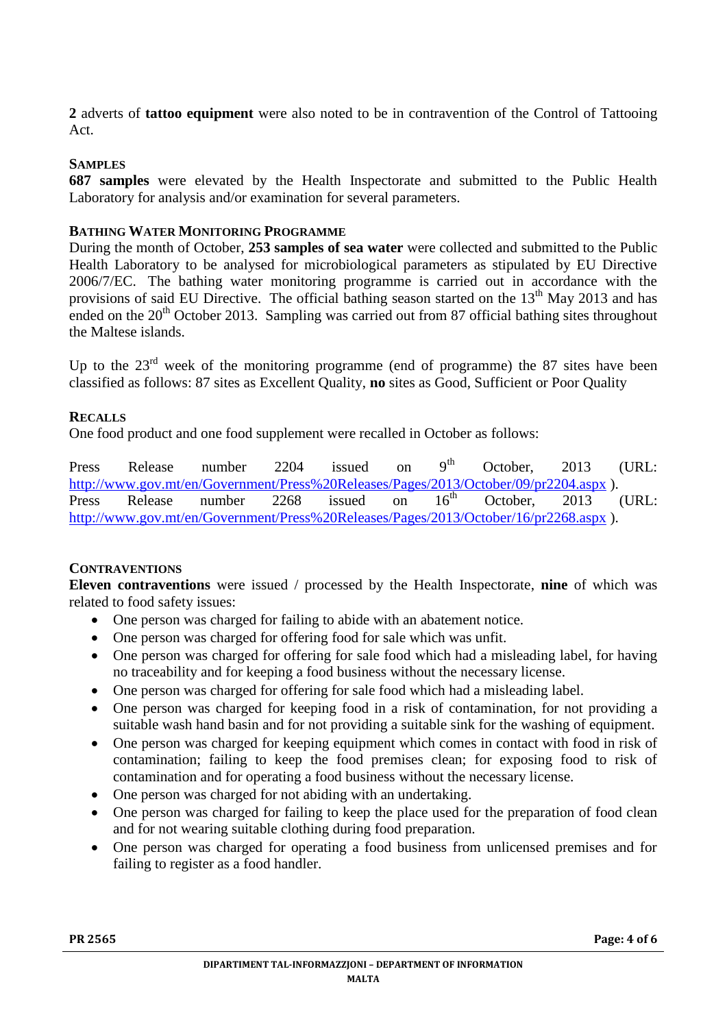**2** adverts of **tattoo equipment** were also noted to be in contravention of the Control of Tattooing Act.

# **SAMPLES**

**687 samples** were elevated by the Health Inspectorate and submitted to the Public Health Laboratory for analysis and/or examination for several parameters.

# **BATHING WATER MONITORING PROGRAMME**

During the month of October, **253 samples of sea water** were collected and submitted to the Public Health Laboratory to be analysed for microbiological parameters as stipulated by EU Directive 2006/7/EC. The bathing water monitoring programme is carried out in accordance with the provisions of said EU Directive. The official bathing season started on the 13<sup>th</sup> May 2013 and has ended on the  $20<sup>th</sup>$  October 2013. Sampling was carried out from 87 official bathing sites throughout the Maltese islands.

Up to the  $23<sup>rd</sup>$  week of the monitoring programme (end of programme) the 87 sites have been classified as follows: 87 sites as Excellent Quality, **no** sites as Good, Sufficient or Poor Quality

# **RECALLS**

One food product and one food supplement were recalled in October as follows:

Press Release number 2204 issued on  $9<sup>th</sup>$  October, 2013 (URL: <http://www.gov.mt/en/Government/Press%20Releases/Pages/2013/October/09/pr2204.aspx>).<br>Press Release number 2268 issued on 16<sup>th</sup> October. 2013 Press Release number 2268 issued on 16<sup>th</sup> October, 2013 (URL: <http://www.gov.mt/en/Government/Press%20Releases/Pages/2013/October/16/pr2268.aspx> ).

# **CONTRAVENTIONS**

**Eleven contraventions** were issued / processed by the Health Inspectorate, **nine** of which was related to food safety issues:

- One person was charged for failing to abide with an abatement notice.
- One person was charged for offering food for sale which was unfit.
- One person was charged for offering for sale food which had a misleading label, for having no traceability and for keeping a food business without the necessary license.
- One person was charged for offering for sale food which had a misleading label.
- One person was charged for keeping food in a risk of contamination, for not providing a suitable wash hand basin and for not providing a suitable sink for the washing of equipment.
- One person was charged for keeping equipment which comes in contact with food in risk of contamination; failing to keep the food premises clean; for exposing food to risk of contamination and for operating a food business without the necessary license.
- One person was charged for not abiding with an undertaking.
- One person was charged for failing to keep the place used for the preparation of food clean and for not wearing suitable clothing during food preparation.
- One person was charged for operating a food business from unlicensed premises and for failing to register as a food handler.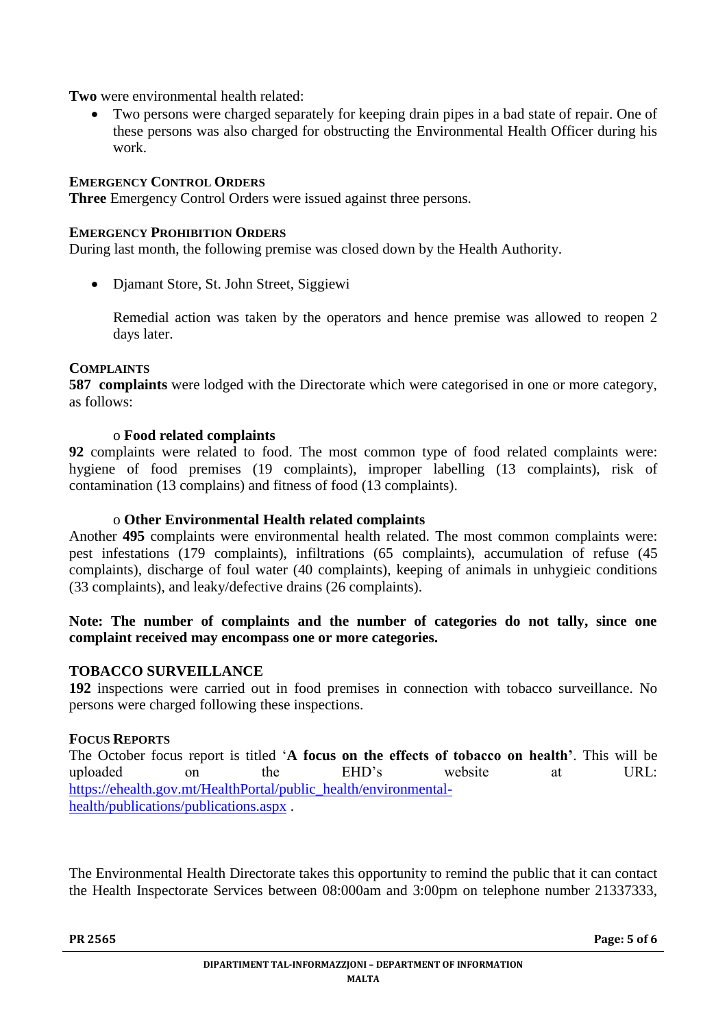**Two** were environmental health related:

 Two persons were charged separately for keeping drain pipes in a bad state of repair. One of these persons was also charged for obstructing the Environmental Health Officer during his work.

### **EMERGENCY CONTROL ORDERS**

**Three** Emergency Control Orders were issued against three persons.

#### **EMERGENCY PROHIBITION ORDERS**

During last month, the following premise was closed down by the Health Authority.

Djamant Store, St. John Street, Siggiewi

Remedial action was taken by the operators and hence premise was allowed to reopen 2 days later.

#### **COMPLAINTS**

**587 complaints** were lodged with the Directorate which were categorised in one or more category, as follows:

#### o **Food related complaints**

**92** complaints were related to food. The most common type of food related complaints were: hygiene of food premises (19 complaints), improper labelling (13 complaints), risk of contamination (13 complains) and fitness of food (13 complaints).

#### o **Other Environmental Health related complaints**

Another **495** complaints were environmental health related. The most common complaints were: pest infestations (179 complaints), infiltrations (65 complaints), accumulation of refuse (45 complaints), discharge of foul water (40 complaints), keeping of animals in unhygieic conditions (33 complaints), and leaky/defective drains (26 complaints).

### **Note: The number of complaints and the number of categories do not tally, since one complaint received may encompass one or more categories.**

### **TOBACCO SURVEILLANCE**

**192** inspections were carried out in food premises in connection with tobacco surveillance. No persons were charged following these inspections.

#### **FOCUS REPORTS**

The October focus report is titled '**A focus on the effects of tobacco on health'**. This will be uploaded on the EHD's website at URL: [https://ehealth.gov.mt/HealthPortal/public\\_health/environmental](https://ehealth.gov.mt/HealthPortal/public_health/environmental-health/publications/publications.aspx)[health/publications/publications.aspx](https://ehealth.gov.mt/HealthPortal/public_health/environmental-health/publications/publications.aspx) .

The Environmental Health Directorate takes this opportunity to remind the public that it can contact the Health Inspectorate Services between 08:000am and 3:00pm on telephone number 21337333,